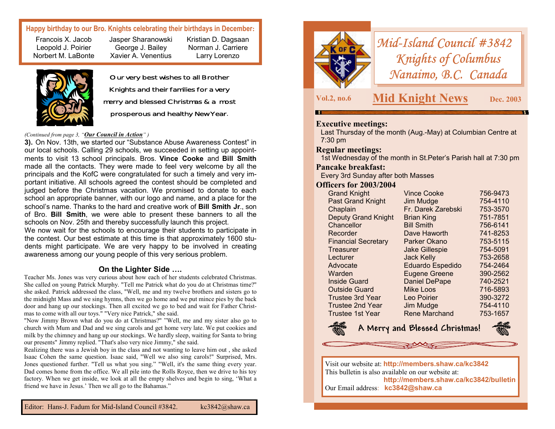## **Happy birthday to our Bro. Knights celebrating their birthdays in December:**

Francois X. Jacob Leopold J. Poirier Norbert M. LaBonte Jasper Sharanowski George J. Bailey Xavier A. Venentius



Our very best wishes to all Brother Knights and their families for a very merry and blessed Christmas & a most prosperous and healthy New Year.

Kristian D. Dagsaan Norman J. Carriere Larry Lorenzo

#### *(Continued from page 3, "Our Council in Action" )*

**3).** On Nov. 13th, we started our "Substance Abuse Awareness Contest" in our local schools. Calling 29 schools, we succeeded in setting up appointments to visit 13 school principals. Bros. **Vince Cooke** and **Bill Smith**  made all the contacts. They were made to feel very welcome by all the principals and the KofC were congratulated for such a timely and very important initiative. All schools agreed the contest should be completed and judged before the Christmas vacation. We promised to donate to each school an appropriate banner, with our logo and name, and a place for the school's name. Thanks to the hard and creative work of **Bill Smith Jr**., son of Bro. **Bill Smith**, we were able to present these banners to all the schools on Nov. 25th and thereby successfully launch this project.

We now wait for the schools to encourage their students to participate in the contest. Our best estimate at this time is that approximately 1600 students might participate. We are very happy to be involved in creating awareness among our young people of this very serious problem.

#### **On the Lighter Side ….**

Teacher Ms. Jones was very curious about how each of her students celebrated Christmas. She called on young Patrick Murphy. "Tell me Patrick what do you do at Christmas time?" she asked. Patrick addressed the class, "Well, me and my twelve brothers and sisters go to the midnight Mass and we sing hymns, then we go home and we put mince pies by the back door and hang up our stockings. Then all excited we go to bed and wait for Father Christmas to come with all our toys." "Very nice Patrick," she said.

"Now Jimmy Brown what do you do at Christmas?" "Well, me and my sister also go to church with Mum and Dad and we sing carols and get home very late. We put cookies and milk by the chimney and hang up our stockings. We hardly sleep, waiting for Santa to bring our presents" Jimmy replied. "That's also very nice Jimmy," she said.

Realizing there was a Jewish boy in the class and not wanting to leave him out , she asked Isaac Cohen the same question. Isaac said, "Well we also sing carols!" Surprised, Mrs. Jones questioned further. "Tell us what you sing." "Well, it's the same thing every year. Dad comes home from the office. We all pile into the Rolls Royce, then we drive to his toy factory. When we get inside, we look at all the empty shelves and begin to sing, 'What a friend we have in Jesus.' Then we all go to the Bahamas."



*Mid-Island Council #3842 Knights of Columbus Nanaimo, B.C. Canada* 

## **Vol.2, no.6 Mid Knight News Dec. 2003**

## **Executive meetings:**

Last Thursday of the month (Aug.-May) at Columbian Centre at 7:30 pm

#### **Regular meetings:**

1st Wednesday of the month in St.Peter's Parish hall at 7:30 pm

#### **Pancake breakfast:**

Every 3rd Sunday after both Masses

## **Officers for 2003/2004**

| <b>Grand Knight</b>        | <b>Vince Cooke</b>    | 756-9473 |
|----------------------------|-----------------------|----------|
| <b>Past Grand Knight</b>   | Jim Mudge             | 754-4110 |
| Chaplain                   | Fr. Darek Zarebski    | 753-3570 |
| <b>Deputy Grand Knight</b> | <b>Brian King</b>     | 751-7851 |
| Chancellor                 | <b>Bill Smith</b>     | 756-6141 |
| Recorder                   | Dave Haworth          | 741-8253 |
| <b>Financial Secretary</b> | Parker Okano          | 753-5115 |
| Treasurer                  | <b>Jake Gillespie</b> | 754-5091 |
| Lecturer                   | <b>Jack Kelly</b>     | 753-2658 |
| Advocate                   | Eduardo Espedido      | 754-2464 |
| Warden                     | <b>Eugene Greene</b>  | 390-2562 |
| <b>Inside Guard</b>        | <b>Daniel DePape</b>  | 740-2521 |
| <b>Outside Guard</b>       | <b>Mike Loos</b>      | 716-5893 |
| <b>Trustee 3rd Year</b>    | Leo Poirier           | 390-3272 |
| <b>Trustee 2nd Year</b>    | Jim Mudge             | 754-4110 |
| Trustee 1st Year           | <b>Rene Marchand</b>  | 753-1657 |
|                            |                       |          |



 **A Merry and Blessed Christmas!** 



Visit our website at: **http://members.shaw.ca/kc3842**  This bulletin is also available on our website at: **http://members.shaw.ca/kc3842/bulletin**  Our Email address: **kc3842@shaw.ca**